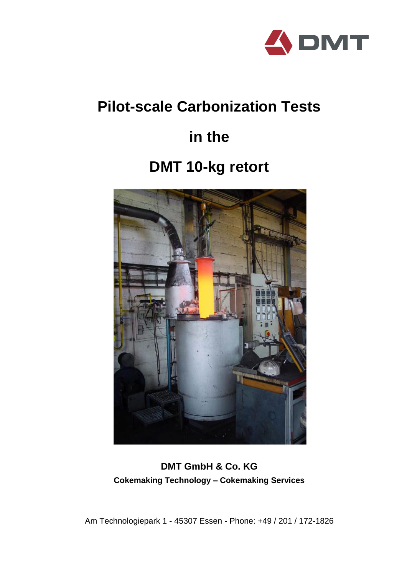

## **Pilot-scale Carbonization Tests**

# **in the**

## **DMT 10-kg retort**



**DMT GmbH & Co. KG Cokemaking Technology – Cokemaking Services**

Am Technologiepark 1 - 45307 Essen - Phone: +49 / 201 / 172-1826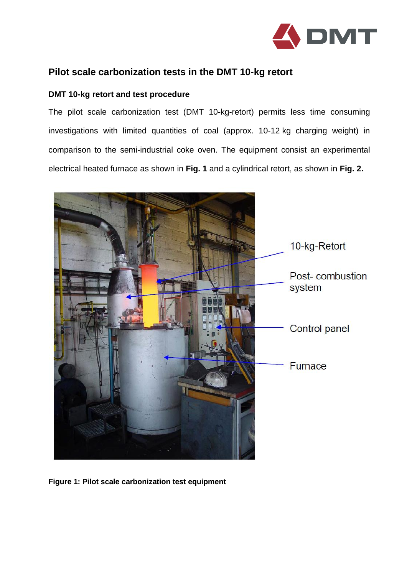

## **Pilot scale carbonization tests in the DMT 10-kg retort**

### **DMT 10-kg retort and test procedure**

The pilot scale carbonization test (DMT 10-kg-retort) permits less time consuming investigations with limited quantities of coal (approx. 10-12 kg charging weight) in comparison to the semi-industrial coke oven. The equipment consist an experimental electrical heated furnace as shown in **Fig. 1** and a cylindrical retort, as shown in **Fig. 2.**



**Figure 1: Pilot scale carbonization test equipment**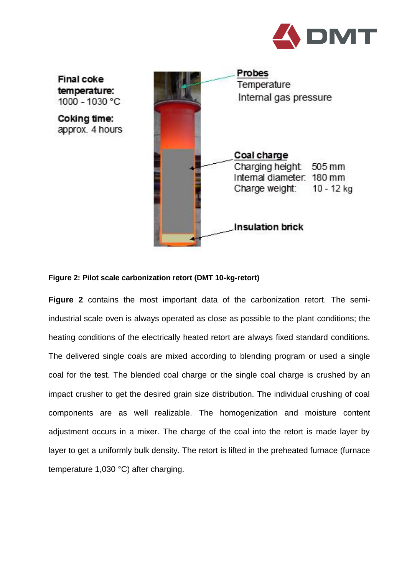

Final coke temperature: 1000 - 1030 °C

Coking time: approx. 4 hours



#### **Figure 2: Pilot scale carbonization retort (DMT 10-kg-retort)**

**Figure 2** contains the most important data of the carbonization retort. The semiindustrial scale oven is always operated as close as possible to the plant conditions; the heating conditions of the electrically heated retort are always fixed standard conditions. The delivered single coals are mixed according to blending program or used a single coal for the test. The blended coal charge or the single coal charge is crushed by an impact crusher to get the desired grain size distribution. The individual crushing of coal components are as well realizable. The homogenization and moisture content adjustment occurs in a mixer. The charge of the coal into the retort is made layer by layer to get a uniformly bulk density. The retort is lifted in the preheated furnace (furnace temperature 1,030 °C) after charging.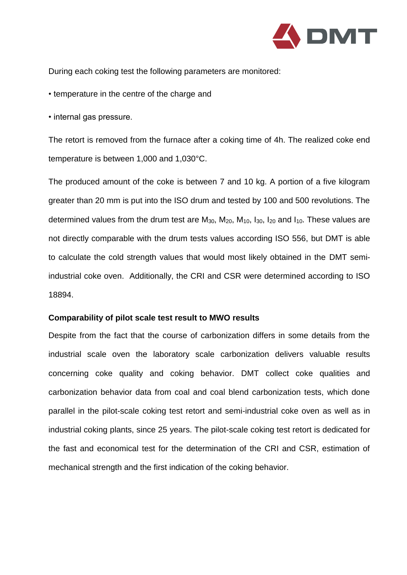

During each coking test the following parameters are monitored:

- temperature in the centre of the charge and
- internal gas pressure.

The retort is removed from the furnace after a coking time of 4h. The realized coke end temperature is between 1,000 and 1,030°C.

The produced amount of the coke is between 7 and 10 kg. A portion of a five kilogram greater than 20 mm is put into the ISO drum and tested by 100 and 500 revolutions. The determined values from the drum test are  $M_{30}$ ,  $M_{20}$ ,  $M_{10}$ ,  $I_{30}$ ,  $I_{20}$  and  $I_{10}$ . These values are not directly comparable with the drum tests values according ISO 556, but DMT is able to calculate the cold strength values that would most likely obtained in the DMT semiindustrial coke oven. Additionally, the CRI and CSR were determined according to ISO 18894.

### **Comparability of pilot scale test result to MWO results**

Despite from the fact that the course of carbonization differs in some details from the industrial scale oven the laboratory scale carbonization delivers valuable results concerning coke quality and coking behavior. DMT collect coke qualities and carbonization behavior data from coal and coal blend carbonization tests, which done parallel in the pilot-scale coking test retort and semi-industrial coke oven as well as in industrial coking plants, since 25 years. The pilot-scale coking test retort is dedicated for the fast and economical test for the determination of the CRI and CSR, estimation of mechanical strength and the first indication of the coking behavior.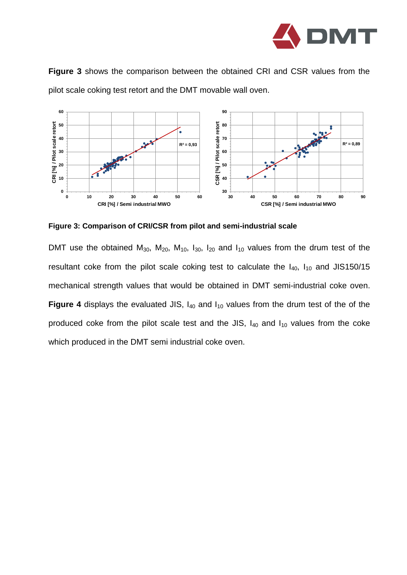

**Figure 3** shows the comparison between the obtained CRI and CSR values from the pilot scale coking test retort and the DMT movable wall oven.



**Figure 3: Comparison of CRI/CSR from pilot and semi-industrial scale**

DMT use the obtained  $M_{30}$ ,  $M_{20}$ ,  $M_{10}$ ,  $I_{30}$ ,  $I_{20}$  and  $I_{10}$  values from the drum test of the resultant coke from the pilot scale coking test to calculate the  $I_{40}$ ,  $I_{10}$  and JIS150/15 mechanical strength values that would be obtained in DMT semi-industrial coke oven. **Figure 4** displays the evaluated JIS,  $I_{40}$  and  $I_{10}$  values from the drum test of the of the produced coke from the pilot scale test and the JIS,  $I_{40}$  and  $I_{10}$  values from the coke which produced in the DMT semi industrial coke oven.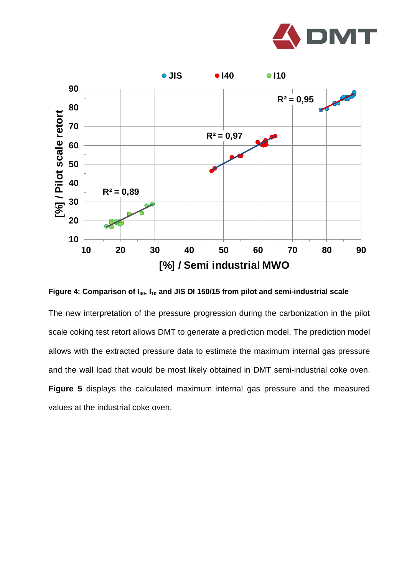



**Figure 4: Comparison of I40, I<sup>10</sup> and JIS DI 150/15 from pilot and semi-industrial scale**

The new interpretation of the pressure progression during the carbonization in the pilot scale coking test retort allows DMT to generate a prediction model. The prediction model allows with the extracted pressure data to estimate the maximum internal gas pressure and the wall load that would be most likely obtained in DMT semi-industrial coke oven. **Figure 5** displays the calculated maximum internal gas pressure and the measured values at the industrial coke oven.